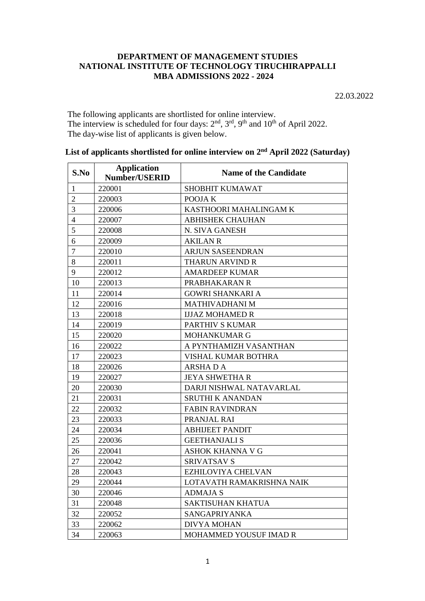## **DEPARTMENT OF MANAGEMENT STUDIES NATIONAL INSTITUTE OF TECHNOLOGY TIRUCHIRAPPALLI MBA ADMISSIONS 2022 - 2024**

22.03.2022

 The following applicants are shortlisted for online interview. The interview is scheduled for four days:  $2<sup>nd</sup>$ ,  $3<sup>rd</sup>$ ,  $9<sup>th</sup>$  and  $10<sup>th</sup>$  of April 2022. The day-wise list of applicants is given below.

| S.No           | <b>Application</b><br><b>Number/USERID</b> | <b>Name of the Candidate</b> |
|----------------|--------------------------------------------|------------------------------|
| $\mathbf{1}$   | 220001                                     | SHOBHIT KUMAWAT              |
| $\overline{2}$ | 220003                                     | POOJA K                      |
| 3              | 220006                                     | KASTHOORI MAHALINGAM K       |
| $\overline{4}$ | 220007                                     | <b>ABHISHEK CHAUHAN</b>      |
| 5              | 220008                                     | N. SIVA GANESH               |
| 6              | 220009                                     | <b>AKILAN R</b>              |
| 7              | 220010                                     | <b>ARJUN SASEENDRAN</b>      |
| 8              | 220011                                     | <b>THARUN ARVIND R</b>       |
| 9              | 220012                                     | <b>AMARDEEP KUMAR</b>        |
| 10             | 220013                                     | PRABHAKARAN R                |
| 11             | 220014                                     | <b>GOWRI SHANKARI A</b>      |
| 12             | 220016                                     | MATHIVADHANI M               |
| 13             | 220018                                     | <b>IJJAZ MOHAMED R</b>       |
| 14             | 220019                                     | PARTHIV S KUMAR              |
| 15             | 220020                                     | <b>MOHANKUMAR G</b>          |
| 16             | 220022                                     | A PYNTHAMIZH VASANTHAN       |
| 17             | 220023                                     | <b>VISHAL KUMAR BOTHRA</b>   |
| 18             | 220026                                     | <b>ARSHADA</b>               |
| 19             | 220027                                     | <b>JEYA SHWETHA R</b>        |
| 20             | 220030                                     | DARJI NISHWAL NATAVARLAL     |
| 21             | 220031                                     | <b>SRUTHI K ANANDAN</b>      |
| 22             | 220032                                     | <b>FABIN RAVINDRAN</b>       |
| 23             | 220033                                     | PRANJAL RAI                  |
| 24             | 220034                                     | <b>ABHIJEET PANDIT</b>       |
| 25             | 220036                                     | <b>GEETHANJALI S</b>         |
| 26             | 220041                                     | <b>ASHOK KHANNA V G</b>      |
| 27             | 220042                                     | <b>SRIVATSAV S</b>           |
| 28             | 220043                                     | EZHILOVIYA CHELVAN           |
| 29             | 220044                                     | LOTAVATH RAMAKRISHNA NAIK    |
| 30             | 220046                                     | <b>ADMAJAS</b>               |
| 31             | 220048                                     | <b>SAKTISUHAN KHATUA</b>     |
| 32             | 220052                                     | SANGAPRIYANKA                |
| 33             | 220062                                     | <b>DIVYA MOHAN</b>           |
| 34             | 220063                                     | MOHAMMED YOUSUF IMAD R       |

List of applicants shortlisted for online interview on  $2<sup>nd</sup>$  April 2022 (Saturday)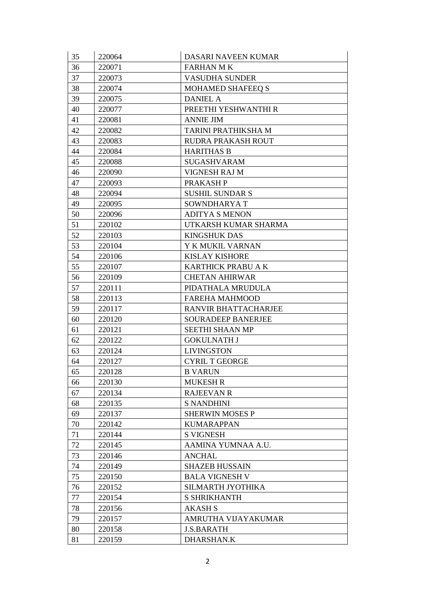| 35       | 220064           | DASARI NAVEEN KUMAR                        |
|----------|------------------|--------------------------------------------|
| 36       | 220071           | <b>FARHAN MK</b>                           |
| 37       | 220073           | <b>VASUDHA SUNDER</b>                      |
| 38       | 220074           | <b>MOHAMED SHAFEEQ S</b>                   |
| 39       | 220075           | <b>DANIEL A</b>                            |
| 40       | 220077           | PREETHI YESHWANTHI R                       |
| 41       | 220081           | <b>ANNIE JIM</b>                           |
| 42       | 220082           | TARINI PRATHIKSHA M                        |
| 43       | 220083           | RUDRA PRAKASH ROUT                         |
| 44       | 220084           | <b>HARITHAS B</b>                          |
| 45       | 220088           | <b>SUGASHVARAM</b>                         |
| 46       | 220090           | VIGNESH RAJ M                              |
| 47       | 220093           | PRAKASH P                                  |
| 48       | 220094           | <b>SUSHIL SUNDAR S</b>                     |
| 49       | 220095           | SOWNDHARYAT                                |
| 50       | 220096           | <b>ADITYA S MENON</b>                      |
| 51       | 220102           | UTKARSH KUMAR SHARMA                       |
| 52       | 220103           | <b>KINGSHUK DAS</b>                        |
| 53       | 220104           | Y K MUKIL VARNAN                           |
| 54       | 220106           | <b>KISLAY KISHORE</b>                      |
| 55       | 220107           | KARTHICK PRABU A K                         |
| 56       | 220109           | <b>CHETAN AHIRWAR</b>                      |
| 57       | 220111           | PIDATHALA MRUDULA                          |
| 58       | 220113           | <b>FAREHA MAHMOOD</b>                      |
| 59       | 220117           | RANVIR BHATTACHARJEE                       |
| 60       | 220120           | <b>SOURADEEP BANERJEE</b>                  |
| 61       | 220121           | SEETHI SHAAN MP                            |
| 62       | 220122           | <b>GOKULNATH J</b>                         |
| 63       | 220124           | <b>LIVINGSTON</b>                          |
| 64       | 220127           | <b>CYRIL T GEORGE</b>                      |
| 65       | 220128           | <b>B VARUN</b>                             |
| 66       | 220130           | <b>MUKESH R</b>                            |
| 67       | 220134           | <b>RAJEEVAN R</b>                          |
| 68       | 220135           | <b>S NANDHINI</b>                          |
| 69       | 220137           | <b>SHERWIN MOSES P</b>                     |
| 70       | 220142           | <b>KUMARAPPAN</b>                          |
| 71       | 220144           | <b>S VIGNESH</b>                           |
| 72       | 220145           | AAMINA YUMNAA A.U.<br><b>ANCHAL</b>        |
| 73       | 220146           |                                            |
| 74       | 220149           | <b>SHAZEB HUSSAIN</b>                      |
| 75<br>76 | 220150<br>220152 | <b>BALA VIGNESH V</b><br>SILMARTH JYOTHIKA |
|          |                  |                                            |
| 77<br>78 | 220154           | <b>S SHRIKHANTH</b>                        |
| 79       | 220156           | <b>AKASH S</b><br>AMRUTHA VIJAYAKUMAR      |
| 80       | 220157<br>220158 | <b>J.S.BARATH</b>                          |
|          |                  | DHARSHAN.K                                 |
| 81       | 220159           |                                            |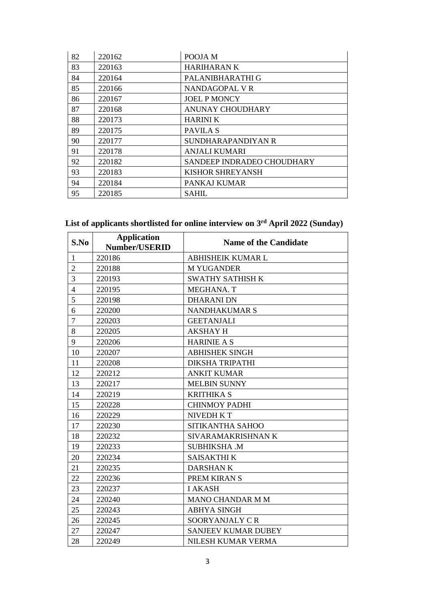| 82 | 220162 | POOJA M                    |
|----|--------|----------------------------|
| 83 | 220163 | <b>HARIHARANK</b>          |
| 84 | 220164 | PALANIBHARATHI G           |
| 85 | 220166 | NANDAGOPAL VR              |
| 86 | 220167 | <b>JOEL P MONCY</b>        |
| 87 | 220168 | ANUNAY CHOUDHARY           |
| 88 | 220173 | <b>HARINI K</b>            |
| 89 | 220175 | PAVILA S                   |
| 90 | 220177 | SUNDHARAPANDIYAN R         |
| 91 | 220178 | <b>ANJALI KUMARI</b>       |
| 92 | 220182 | SANDEEP INDRADEO CHOUDHARY |
| 93 | 220183 | <b>KISHOR SHREYANSH</b>    |
| 94 | 220184 | PANKAJ KUMAR               |
| 95 | 220185 | <b>SAHIL</b>               |

#### **List of applicants shortlisted for online interview on 3 rd April 2022 (Sunday)**

| S.No           | <b>Application</b><br><b>Number/USERID</b> | <b>Name of the Candidate</b> |
|----------------|--------------------------------------------|------------------------------|
| $\mathbf{1}$   | 220186                                     | <b>ABHISHEIK KUMAR L</b>     |
| $\overline{2}$ | 220188                                     | <b>M YUGANDER</b>            |
| 3              | 220193                                     | <b>SWATHY SATHISH K</b>      |
| $\overline{4}$ | 220195                                     | MEGHANA. T                   |
| 5              | 220198                                     | <b>DHARANI DN</b>            |
| 6              | 220200                                     | <b>NANDHAKUMAR S</b>         |
| $\overline{7}$ | 220203                                     | <b>GEETANJALI</b>            |
| 8              | 220205                                     | <b>AKSHAY H</b>              |
| 9              | 220206                                     | <b>HARINIE A S</b>           |
| 10             | 220207                                     | <b>ABHISHEK SINGH</b>        |
| 11             | 220208                                     | <b>DIKSHA TRIPATHI</b>       |
| 12             | 220212                                     | <b>ANKIT KUMAR</b>           |
| 13             | 220217                                     | <b>MELBIN SUNNY</b>          |
| 14             | 220219                                     | <b>KRITHIKA S</b>            |
| 15             | 220228                                     | <b>CHINMOY PADHI</b>         |
| 16             | 220229                                     | <b>NIVEDH K T</b>            |
| 17             | 220230                                     | SITIKANTHA SAHOO             |
| 18             | 220232                                     | SIVARAMAKRISHNAN K           |
| 19             | 220233                                     | <b>SUBHIKSHA .M</b>          |
| 20             | 220234                                     | <b>SAISAKTHI K</b>           |
| 21             | 220235                                     | <b>DARSHANK</b>              |
| 22             | 220236                                     | PREM KIRAN S                 |
| 23             | 220237                                     | <b>I AKASH</b>               |
| 24             | 220240                                     | MANO CHANDAR M M             |
| 25             | 220243                                     | <b>ABHYA SINGH</b>           |
| 26             | 220245                                     | SOORYANJALY CR               |
| 27             | 220247                                     | <b>SANJEEV KUMAR DUBEY</b>   |
| 28             | 220249                                     | NILESH KUMAR VERMA           |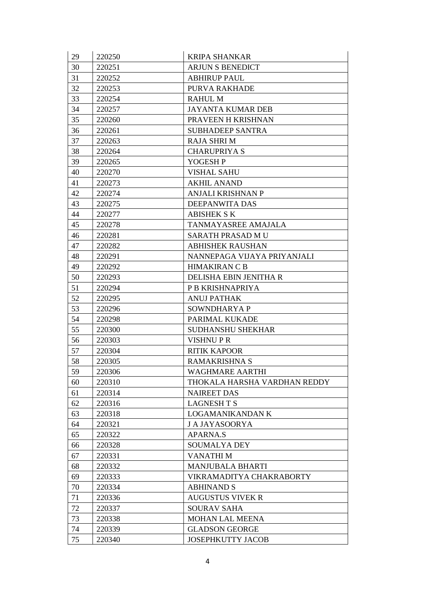| 29 | 220250 | <b>KRIPA SHANKAR</b>         |
|----|--------|------------------------------|
| 30 | 220251 | <b>ARJUN S BENEDICT</b>      |
| 31 | 220252 | <b>ABHIRUP PAUL</b>          |
| 32 | 220253 | PURVA RAKHADE                |
| 33 | 220254 | <b>RAHUL M</b>               |
| 34 | 220257 | <b>JAYANTA KUMAR DEB</b>     |
| 35 | 220260 | PRAVEEN H KRISHNAN           |
| 36 | 220261 | <b>SUBHADEEP SANTRA</b>      |
| 37 | 220263 | <b>RAJA SHRIM</b>            |
| 38 | 220264 | <b>CHARUPRIYA S</b>          |
| 39 | 220265 | YOGESH P                     |
| 40 | 220270 | <b>VISHAL SAHU</b>           |
| 41 | 220273 | <b>AKHIL ANAND</b>           |
| 42 | 220274 | ANJALI KRISHNAN P            |
| 43 | 220275 | DEEPANWITA DAS               |
| 44 | 220277 | <b>ABISHEK S K</b>           |
| 45 | 220278 | TANMAYASREE AMAJALA          |
| 46 | 220281 | SARATH PRASAD MU             |
| 47 | 220282 | <b>ABHISHEK RAUSHAN</b>      |
| 48 | 220291 | NANNEPAGA VIJAYA PRIYANJALI  |
| 49 | 220292 | <b>HIMAKIRAN C B</b>         |
| 50 | 220293 | DELISHA EBIN JENITHA R       |
| 51 | 220294 | P B KRISHNAPRIYA             |
| 52 | 220295 | <b>ANUJ PATHAK</b>           |
| 53 | 220296 | SOWNDHARYA P                 |
| 54 | 220298 | PARIMAL KUKADE               |
| 55 | 220300 | <b>SUDHANSHU SHEKHAR</b>     |
| 56 | 220303 | <b>VISHNUPR</b>              |
| 57 | 220304 | <b>RITIK KAPOOR</b>          |
| 58 | 220305 | <b>RAMAKRISHNA S</b>         |
| 59 | 220306 | WAGHMARE AARTHI              |
| 60 | 220310 | THOKALA HARSHA VARDHAN REDDY |
| 61 | 220314 | <b>NAIREET DAS</b>           |
| 62 | 220316 | <b>LAGNESH T S</b>           |
| 63 | 220318 | LOGAMANIKANDAN K             |
| 64 | 220321 | <b>J A JAYASOORYA</b>        |
| 65 | 220322 | <b>APARNA.S</b>              |
| 66 | 220328 | <b>SOUMALYA DEY</b>          |
| 67 | 220331 | VANATHI M                    |
| 68 | 220332 | <b>MANJUBALA BHARTI</b>      |
| 69 | 220333 | VIKRAMADITYA CHAKRABORTY     |
| 70 | 220334 | <b>ABHINAND S</b>            |
| 71 | 220336 | <b>AUGUSTUS VIVEK R</b>      |
| 72 | 220337 | <b>SOURAV SAHA</b>           |
| 73 | 220338 | <b>MOHAN LAL MEENA</b>       |
| 74 | 220339 | <b>GLADSON GEORGE</b>        |
| 75 | 220340 | JOSEPHKUTTY JACOB            |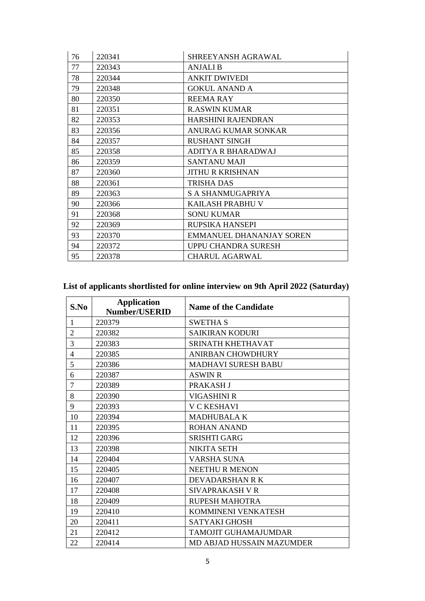| 76 | 220341 | SHREEYANSH AGRAWAL              |
|----|--------|---------------------------------|
| 77 | 220343 | <b>ANJALI B</b>                 |
| 78 | 220344 | <b>ANKIT DWIVEDI</b>            |
| 79 | 220348 | <b>GOKUL ANAND A</b>            |
| 80 | 220350 | <b>REEMARAY</b>                 |
| 81 | 220351 | <b>R.ASWIN KUMAR</b>            |
| 82 | 220353 | <b>HARSHINI RAJENDRAN</b>       |
| 83 | 220356 | <b>ANURAG KUMAR SONKAR</b>      |
| 84 | 220357 | <b>RUSHANT SINGH</b>            |
| 85 | 220358 | ADITYA R BHARADWAJ              |
| 86 | 220359 | <b>SANTANU MAJI</b>             |
| 87 | 220360 | <b>JITHU R KRISHNAN</b>         |
| 88 | 220361 | <b>TRISHA DAS</b>               |
| 89 | 220363 | S A SHANMUGAPRIYA               |
| 90 | 220366 | KAILASH PRABHU V                |
| 91 | 220368 | <b>SONU KUMAR</b>               |
| 92 | 220369 | RUPSIKA HANSEPI                 |
| 93 | 220370 | <b>EMMANUEL DHANANJAY SOREN</b> |
| 94 | 220372 | UPPU CHANDRA SURESH             |
| 95 | 220378 | <b>CHARUL AGARWAL</b>           |

# **List of applicants shortlisted for online interview on 9th April 2022 (Saturday)**

| S.No           | <b>Application</b><br><b>Number/USERID</b> | <b>Name of the Candidate</b> |
|----------------|--------------------------------------------|------------------------------|
| 1              | 220379                                     | <b>SWETHA S</b>              |
| $\overline{2}$ | 220382                                     | <b>SAIKIRAN KODURI</b>       |
| 3              | 220383                                     | <b>SRINATH KHETHAVAT</b>     |
| 4              | 220385                                     | <b>ANIRBAN CHOWDHURY</b>     |
| 5              | 220386                                     | <b>MADHAVI SURESH BABU</b>   |
| 6              | 220387                                     | <b>ASWIN R</b>               |
| 7              | 220389                                     | PRAKASH J                    |
| 8              | 220390                                     | VIGASHINI R                  |
| 9              | 220393                                     | <b>V C KESHAVI</b>           |
| 10             | 220394                                     | <b>MADHUBALA K</b>           |
| 11             | 220395                                     | <b>ROHAN ANAND</b>           |
| 12             | 220396                                     | <b>SRISHTI GARG</b>          |
| 13             | 220398                                     | <b>NIKITA SETH</b>           |
| 14             | 220404                                     | <b>VARSHA SUNA</b>           |
| 15             | 220405                                     | <b>NEETHUR MENON</b>         |
| 16             | 220407                                     | DEVADARSHAN R K              |
| 17             | 220408                                     | <b>SIVAPRAKASH V R</b>       |
| 18             | 220409                                     | <b>RUPESH MAHOTRA</b>        |
| 19             | 220410                                     | KOMMINENI VENKATESH          |
| 20             | 220411                                     | <b>SATYAKI GHOSH</b>         |
| 21             | 220412                                     | <b>TAMOJIT GUHAMAJUMDAR</b>  |
| 22             | 220414                                     | MD ABJAD HUSSAIN MAZUMDER    |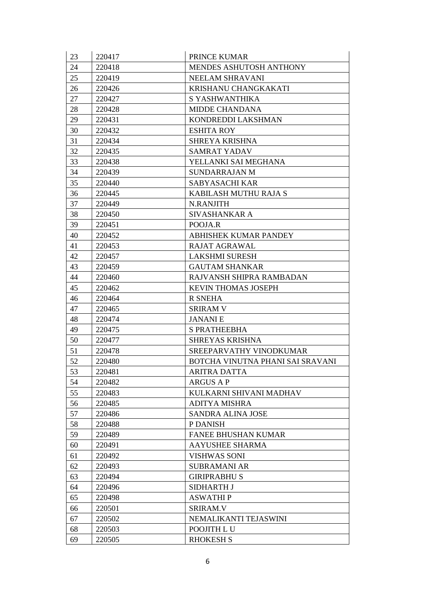| 23 | 220417 | <b>PRINCE KUMAR</b>              |
|----|--------|----------------------------------|
| 24 | 220418 | MENDES ASHUTOSH ANTHONY          |
| 25 | 220419 | NEELAM SHRAVANI                  |
| 26 | 220426 | KRISHANU CHANGKAKATI             |
| 27 | 220427 | S YASHWANTHIKA                   |
| 28 | 220428 | <b>MIDDE CHANDANA</b>            |
| 29 | 220431 | KONDREDDI LAKSHMAN               |
| 30 | 220432 | <b>ESHITA ROY</b>                |
| 31 | 220434 | <b>SHREYA KRISHNA</b>            |
| 32 | 220435 | <b>SAMRAT YADAV</b>              |
| 33 | 220438 | YELLANKI SAI MEGHANA             |
| 34 | 220439 | <b>SUNDARRAJAN M</b>             |
| 35 | 220440 | <b>SABYASACHI KAR</b>            |
| 36 | 220445 | KABILASH MUTHU RAJA S            |
| 37 | 220449 | N.RANJITH                        |
| 38 | 220450 | SIVASHANKAR A                    |
| 39 | 220451 | POOJA.R                          |
| 40 | 220452 | ABHISHEK KUMAR PANDEY            |
| 41 | 220453 | RAJAT AGRAWAL                    |
| 42 | 220457 | <b>LAKSHMI SURESH</b>            |
| 43 | 220459 | <b>GAUTAM SHANKAR</b>            |
| 44 | 220460 | RAJVANSH SHIPRA RAMBADAN         |
| 45 | 220462 | KEVIN THOMAS JOSEPH              |
| 46 | 220464 | R SNEHA                          |
| 47 | 220465 | <b>SRIRAM V</b>                  |
| 48 | 220474 | <b>JANANIE</b>                   |
| 49 | 220475 | S PRATHEEBHA                     |
| 50 | 220477 | <b>SHREYAS KRISHNA</b>           |
| 51 | 220478 | SREEPARVATHY VINODKUMAR          |
| 52 | 220480 | BOTCHA VINUTNA PHANI SAI SRAVANI |
| 53 | 220481 | <b>ARITRA DATTA</b>              |
| 54 | 220482 | <b>ARGUS A P</b>                 |
| 55 | 220483 | KULKARNI SHIVANI MADHAV          |
| 56 | 220485 | <b>ADITYA MISHRA</b>             |
| 57 | 220486 | SANDRA ALINA JOSE                |
| 58 | 220488 | P DANISH                         |
| 59 | 220489 | <b>FANEE BHUSHAN KUMAR</b>       |
| 60 | 220491 | <b>AAYUSHEE SHARMA</b>           |
| 61 | 220492 | <b>VISHWAS SONI</b>              |
| 62 | 220493 | <b>SUBRAMANI AR</b>              |
| 63 | 220494 | <b>GIRIPRABHU S</b>              |
| 64 | 220496 | <b>SIDHARTH J</b>                |
| 65 | 220498 | <b>ASWATHIP</b>                  |
| 66 | 220501 | <b>SRIRAM.V</b>                  |
| 67 | 220502 | NEMALIKANTI TEJASWINI            |
| 68 | 220503 | POOJITH LU                       |
| 69 | 220505 | <b>RHOKESH S</b>                 |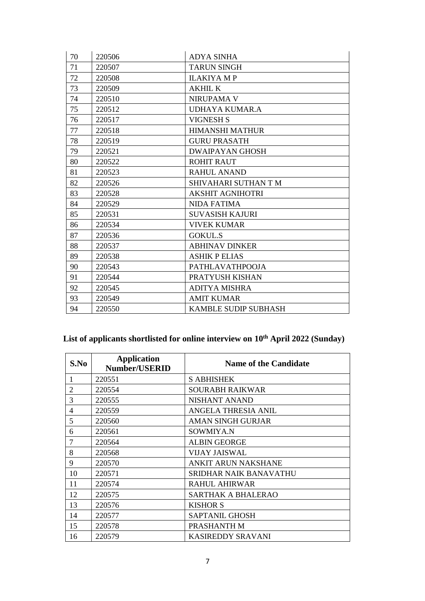| 70 | 220506 | <b>ADYA SINHA</b>           |
|----|--------|-----------------------------|
| 71 | 220507 | <b>TARUN SINGH</b>          |
| 72 | 220508 | <b>ILAKIYA MP</b>           |
| 73 | 220509 | <b>AKHIL K</b>              |
| 74 | 220510 | <b>NIRUPAMA V</b>           |
| 75 | 220512 | UDHAYA KUMAR.A              |
| 76 | 220517 | <b>VIGNESH S</b>            |
| 77 | 220518 | <b>HIMANSHI MATHUR</b>      |
| 78 | 220519 | <b>GURU PRASATH</b>         |
| 79 | 220521 | <b>DWAIPAYAN GHOSH</b>      |
| 80 | 220522 | <b>ROHIT RAUT</b>           |
| 81 | 220523 | <b>RAHUL ANAND</b>          |
| 82 | 220526 | SHIVAHARI SUTHAN T M        |
| 83 | 220528 | <b>AKSHIT AGNIHOTRI</b>     |
| 84 | 220529 | <b>NIDA FATIMA</b>          |
| 85 | 220531 | <b>SUVASISH KAJURI</b>      |
| 86 | 220534 | <b>VIVEK KUMAR</b>          |
| 87 | 220536 | <b>GOKUL.S</b>              |
| 88 | 220537 | <b>ABHINAV DINKER</b>       |
| 89 | 220538 | <b>ASHIK P ELIAS</b>        |
| 90 | 220543 | <b>PATHLAVATHPOOJA</b>      |
| 91 | 220544 | PRATYUSH KISHAN             |
| 92 | 220545 | <b>ADITYA MISHRA</b>        |
| 93 | 220549 | <b>AMIT KUMAR</b>           |
| 94 | 220550 | <b>KAMBLE SUDIP SUBHASH</b> |

# **List of applicants shortlisted for online interview on 10th April 2022 (Sunday)**

| S.No           | <b>Application</b><br><b>Number/USERID</b> | <b>Name of the Candidate</b> |
|----------------|--------------------------------------------|------------------------------|
|                | 220551                                     | <b>S ABHISHEK</b>            |
| 2              | 220554                                     | SOURABH RAIKWAR              |
| 3              | 220555                                     | NISHANT ANAND                |
| $\overline{4}$ | 220559                                     | ANGELA THRESIA ANIL          |
| 5              | 220560                                     | AMAN SINGH GURJAR            |
| 6              | 220561                                     | SOWMIYA.N                    |
| 7              | 220564                                     | <b>ALBIN GEORGE</b>          |
| 8              | 220568                                     | VIJAY JAISWAL                |
| 9              | 220570                                     | <b>ANKIT ARUN NAKSHANE</b>   |
| 10             | 220571                                     | SRIDHAR NAIK BANAVATHU       |
| 11             | 220574                                     | RAHUL AHIRWAR                |
| 12             | 220575                                     | SARTHAK A BHALERAO           |
| 13             | 220576                                     | <b>KISHOR S</b>              |
| 14             | 220577                                     | <b>SAPTANIL GHOSH</b>        |
| 15             | 220578                                     | PRASHANTH M                  |
| 16             | 220579                                     | <b>KASIREDDY SRAVANI</b>     |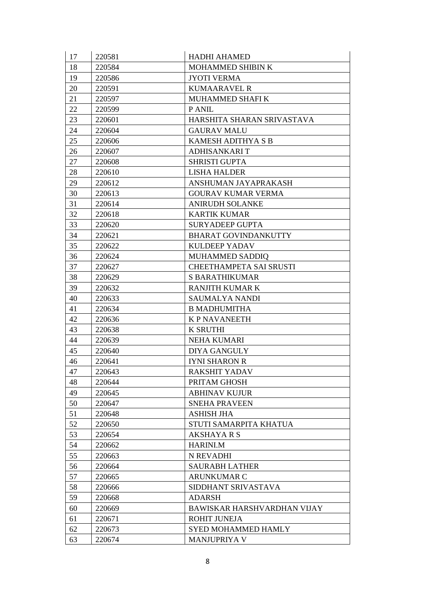| 17 | 220581 | <b>HADHI AHAMED</b>                |
|----|--------|------------------------------------|
| 18 | 220584 | MOHAMMED SHIBIN K                  |
| 19 | 220586 | <b>JYOTI VERMA</b>                 |
| 20 | 220591 | <b>KUMAARAVEL R</b>                |
| 21 | 220597 | MUHAMMED SHAFI K                   |
| 22 | 220599 | P ANIL                             |
| 23 | 220601 | HARSHITA SHARAN SRIVASTAVA         |
| 24 | 220604 | <b>GAURAV MALU</b>                 |
| 25 | 220606 | <b>KAMESH ADITHYA S B</b>          |
| 26 | 220607 | ADHISANKARI T                      |
| 27 | 220608 | <b>SHRISTI GUPTA</b>               |
| 28 | 220610 | <b>LISHA HALDER</b>                |
| 29 | 220612 | ANSHUMAN JAYAPRAKASH               |
| 30 | 220613 | <b>GOURAV KUMAR VERMA</b>          |
| 31 | 220614 | <b>ANIRUDH SOLANKE</b>             |
| 32 | 220618 | <b>KARTIK KUMAR</b>                |
| 33 | 220620 | <b>SURYADEEP GUPTA</b>             |
| 34 | 220621 | <b>BHARAT GOVINDANKUTTY</b>        |
| 35 | 220622 | <b>KULDEEP YADAV</b>               |
| 36 | 220624 | MUHAMMED SADDIQ                    |
| 37 | 220627 | CHEETHAMPETA SAI SRUSTI            |
| 38 | 220629 | <b>S BARATHIKUMAR</b>              |
| 39 | 220632 | <b>RANJITH KUMAR K</b>             |
| 40 | 220633 | SAUMALYA NANDI                     |
| 41 | 220634 | <b>B MADHUMITHA</b>                |
| 42 | 220636 | <b>K P NAVANEETH</b>               |
| 43 | 220638 | <b>K SRUTHI</b>                    |
| 44 | 220639 | <b>NEHA KUMARI</b>                 |
| 45 | 220640 | <b>DIYA GANGULY</b>                |
| 46 | 220641 | <b>IYNI SHARON R</b>               |
| 47 | 220643 | <b>RAKSHIT YADAV</b>               |
| 48 | 220644 | PRITAM GHOSH                       |
| 49 | 220645 | <b>ABHINAV KUJUR</b>               |
| 50 | 220647 | <b>SNEHA PRAVEEN</b>               |
| 51 | 220648 | <b>ASHISH JHA</b>                  |
| 52 | 220650 | STUTI SAMARPITA KHATUA             |
| 53 | 220654 | <b>AKSHAYARS</b>                   |
| 54 | 220662 | HARINI.M                           |
| 55 | 220663 | N REVADHI                          |
| 56 | 220664 | <b>SAURABH LATHER</b>              |
| 57 | 220665 | <b>ARUNKUMAR C</b>                 |
| 58 | 220666 | SIDDHANT SRIVASTAVA                |
| 59 | 220668 | <b>ADARSH</b>                      |
| 60 | 220669 | <b>BAWISKAR HARSHVARDHAN VIJAY</b> |
| 61 | 220671 | <b>ROHIT JUNEJA</b>                |
| 62 | 220673 | <b>SYED MOHAMMED HAMLY</b>         |
| 63 | 220674 | <b>MANJUPRIYA V</b>                |